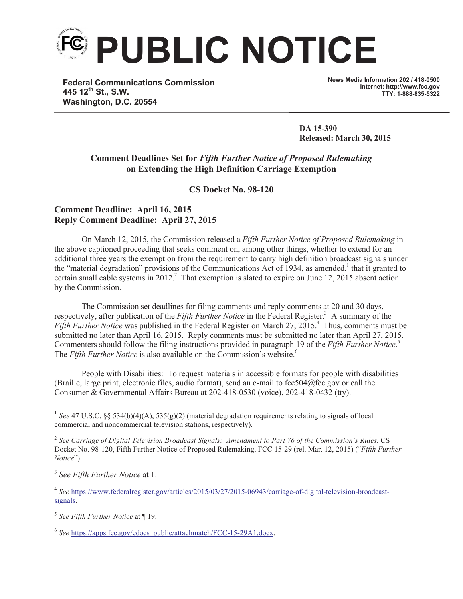

**Federal Communications Commission 445 12th St., S.W. Washington, D.C. 20554**

**News Media Information 202 / 418-0500 Internet: http://www.fcc.gov TTY: 1-888-835-5322**

**DA 15-390 Released: March 30, 2015**

## **Comment Deadlines Set for** *Fifth Further Notice of Proposed Rulemaking* **on Extending the High Definition Carriage Exemption**

**CS Docket No. 98-120**

## **Comment Deadline: April 16, 2015 Reply Comment Deadline: April 27, 2015**

On March 12, 2015, the Commission released a *Fifth Further Notice of Proposed Rulemaking* in the above captioned proceeding that seeks comment on, among other things, whether to extend for an additional three years the exemption from the requirement to carry high definition broadcast signals under the "material degradation" provisions of the Communications Act of 1934, as amended,<sup>1</sup> that it granted to certain small cable systems in 2012.<sup>2</sup> That exemption is slated to expire on June 12, 2015 absent action by the Commission.

The Commission set deadlines for filing comments and reply comments at 20 and 30 days, respectively, after publication of the *Fifth Further Notice* in the Federal Register.<sup>3</sup> A summary of the *Fifth Further Notice* was published in the Federal Register on March 27, 2015.<sup>4</sup> Thus, comments must be submitted no later than April 16, 2015. Reply comments must be submitted no later than April 27, 2015. Commenters should follow the filing instructions provided in paragraph 19 of the *Fifth Further Notice*. 5 The *Fifth Further Notice* is also available on the Commission's website.<sup>6</sup>

People with Disabilities: To request materials in accessible formats for people with disabilities (Braille, large print, electronic files, audio format), send an e-mail to fcc504@fcc.gov or call the Consumer & Governmental Affairs Bureau at 202-418-0530 (voice), 202-418-0432 (tty).

3 *See Fifth Further Notice* at 1.

4 *See* https://www.federalregister.gov/articles/2015/03/27/2015-06943/carriage-of-digital-television-broadcastsignals.

5 *See Fifth Further Notice* at ¶ 19.

<sup>6</sup> See https://apps.fcc.gov/edocs\_public/attachmatch/FCC-15-29A1.docx.

<sup>&</sup>lt;sup>1</sup> See 47 U.S.C. §§ 534(b)(4)(A), 535(g)(2) (material degradation requirements relating to signals of local commercial and noncommercial television stations, respectively).

<sup>2</sup> *See Carriage of Digital Television Broadcast Signals: Amendment to Part 76 of the Commission's Rules*, CS Docket No. 98-120, Fifth Further Notice of Proposed Rulemaking, FCC 15-29 (rel. Mar. 12, 2015) ("*Fifth Further Notice*").